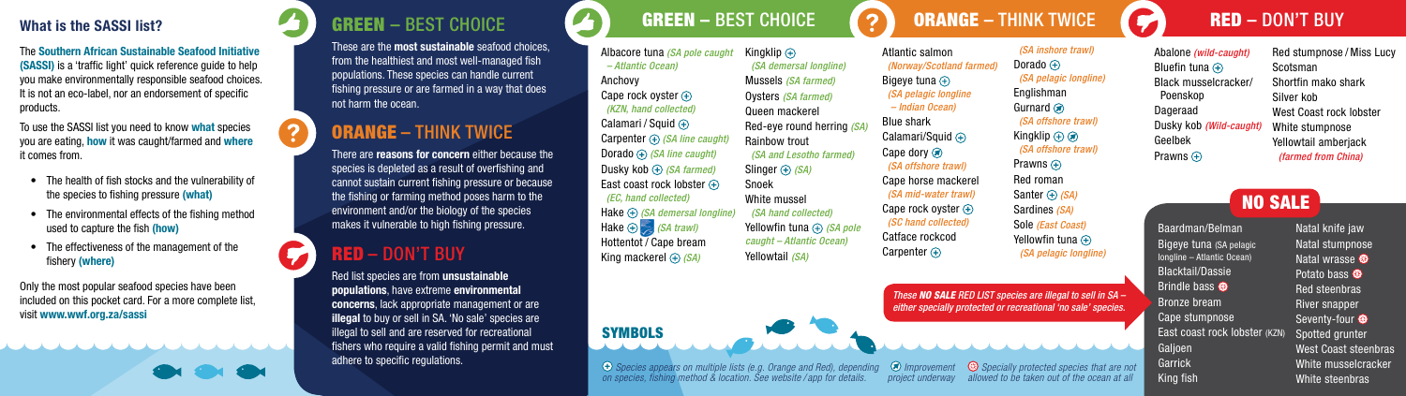The Southern African Sustainable Seafood Initiative (SASSI) is a 'traffic light' quick reference guide to help you make environmentally responsible seafood choices. It is not an eco-label, nor an endorsement of specific products.

To use the SASSI list you need to know what species you are eating, how it was caught/farmed and where it comes from.

- The health of fish stocks and the vulnerability of the species to fishing pressure (what)
- The environmental effects of the fishing method used to capture the fish (how)
- The effectiveness of the management of the fishery (where)

Only the most popular seafood species have been included on this pocket card. For a more complete list, visit www.wwf.org.za/sassi

**OH OH OH** 

#### What is the SASSI list? GREEN – BEST CHOICE GREEN – BEST CHOICE CONNECT PUNK TWICE CONNECT HINK TWICE CONNECT BUY GREEN – BEST CHOICE

These are the most sustainable seafood choices, from the healthiest and most well-managed fish populations. These species can handle current fishing pressure or are farmed in a way that does not harm the ocean.

# ORANGE – THINK TWICE

There are reasons for concern either because the species is depleted as a result of overfishing and cannot sustain current fishing pressure or because the fishing or farming method poses harm to the environment and/or the biology of the species makes it vulnerable to high fishing pressure.

## RED – DON'T BUY

Red list species are from unsustainable populations, have extreme environmental concerns, lack appropriate management or are illegal to buy or sell in SA. 'No sale' species are illegal to sell and are reserved for recreational fishers who require a valid fishing permit and must adhere to specific regulations.

Albacore tuna *(SA pole caught – Atlantic Ocean)* Anchovy Cape rock oyster  $\left( + \right)$ *(KZN, hand collected)* Calamari / Squid  $\left( +\right)$ Carpenter *(SA line caught)* Dorado *(SA line caught)* Dusky kob *(SA farmed)*  East coast rock lobster  $\bigoplus$  *(EC, hand collected)* Hake *(SA demersal longline)* Hake *(SA trawl)* Hottentot / Cape bream King mackerel *(SA)*

*Species appears on multiple lists (e.g. Orange and Red), depending on species, fishing method & location. See website / app for details.*

e

**SYMBOLS** 

Kingklip  $\bigoplus$  *(SA demersal longline)* Mussels *(SA farmed)* Oysters *(SA farmed)* Queen mackerel Red-eye round herring *(SA)*  Rainbow trout *(SA and Lesotho farmed)* Slinger  $\bigoplus$  *(SA)* Snoek White mussel *(SA hand collected)* Yellowfin tuna  $\bigoplus$  (SA pole *caught – Atlantic Ocean)* Yellowtail *(SA)*

Atlantic salmon  *(Norway/Scotland farmed)* Bigeye tuna  $\oplus$  *(SA pelagic longline – Indian Ocean)* Blue shark Calamari/Squid  $\bigoplus$ Cape dory  $\circledast$  *(SA offshore trawl)* Cape horse mackerel  *(SA mid-water trawl)* Cape rock ovster  $\left( +\right)$  *(SC hand collected)*  Catface rockcod Carpenter  $\left( \cdot \right)$ Dorado  $\oplus$ Englishman Gurnard a Kingklip  $\bigoplus$   $\bigotimes$ Prawns  $\bigoplus$ Red roman Santer  $\oplus$  *(SA)* Sardines *(SA)* Sole *(East Coast)* Yellowfin tuna  $\overline{+}$ 

*project underway*

*These NO SALE RED LIST species are illegal to sell in SA – either specially protected or recreational 'no sale' species.* 



 *(SA inshore trawl)*

 *(SA pelagic longline)*

 *(SA offshore trawl)*

 *(SA offshore trawl)*

*(SA pelagic longline)*

| Abalone (wild-caught)   | Red stumpnose / Miss Lucy |
|-------------------------|---------------------------|
| Bluefin tuna $\oplus$   | Scotsman                  |
| Black musselcracker/    | Shortfin mako shark       |
| Poenskop                | Silver kob                |
| Dageraad                | West Coast rock lobster   |
| Dusky kob (Wild-caught) | White stumpnose           |
| Geelbek                 | Yellowtail amberjack      |
| Prawns $\bigoplus$      | (farmed from China)       |

NO SALE

Baardman/Belman Bigeye tuna (SA pelagic longline – Atlantic Ocean) Blacktail/Dassie Brindle bass Cape stumpnose East coast rock lobster (KZN) Natal knife jaw Natal stumpnose Natal wrasse Potato bass Red steenbras River snapper Seventy-four Spotted grunter West Coast steenbras White musselcracker White steenbras

Bronze bream

Galjoen Garrick King fish